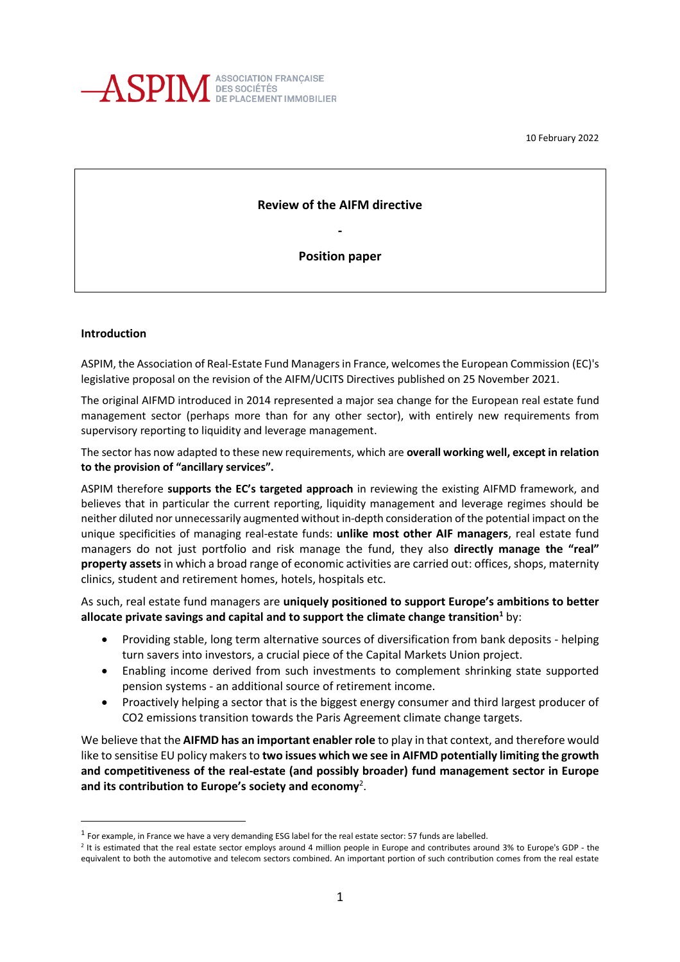

10 February 2022

## **Review of the AIFM directive**

**-**

**Position paper**

#### **Introduction**

ASPIM, the Association of Real-Estate Fund Managers in France, welcomes the European Commission (EC)'s legislative proposal on the revision of the AIFM/UCITS Directives published on 25 November 2021.

The original AIFMD introduced in 2014 represented a major sea change for the European real estate fund management sector (perhaps more than for any other sector), with entirely new requirements from supervisory reporting to liquidity and leverage management.

The sector has now adapted to these new requirements, which are **overall working well, except in relation to the provision of "ancillary services".** 

ASPIM therefore **supports the EC's targeted approach** in reviewing the existing AIFMD framework, and believes that in particular the current reporting, liquidity management and leverage regimes should be neither diluted nor unnecessarily augmented without in-depth consideration of the potential impact on the unique specificities of managing real-estate funds: **unlike most other AIF managers**, real estate fund managers do not just portfolio and risk manage the fund, they also **directly manage the "real" property assets**in which a broad range of economic activities are carried out: offices, shops, maternity clinics, student and retirement homes, hotels, hospitals etc.

As such, real estate fund managers are **uniquely positioned to support Europe's ambitions to better allocate private savings and capital and to support the climate change transition<sup>1</sup>** by:

- Providing stable, long term alternative sources of diversification from bank deposits helping turn savers into investors, a crucial piece of the Capital Markets Union project.
- Enabling income derived from such investments to complement shrinking state supported pension systems - an additional source of retirement income.
- Proactively helping a sector that is the biggest energy consumer and third largest producer of CO2 emissions transition towards the Paris Agreement climate change targets.

We believe that the **AIFMD has an important enabler role** to play in that context, and therefore would like to sensitise EU policy makers to **two issues which we see in AIFMD potentially limiting the growth and competitiveness of the real-estate (and possibly broader) fund management sector in Europe and its contribution to Europe's society and economy**<sup>2</sup> .

 $^1$  For example, in France we have a very demanding ESG label for the real estate sector: 57 funds are labelled.

<sup>&</sup>lt;sup>2</sup> It is estimated that the real estate sector employs around 4 million people in Europe and contributes around 3% to Europe's GDP - the equivalent to both the automotive and telecom sectors combined. An important portion of such contribution comes from the real estate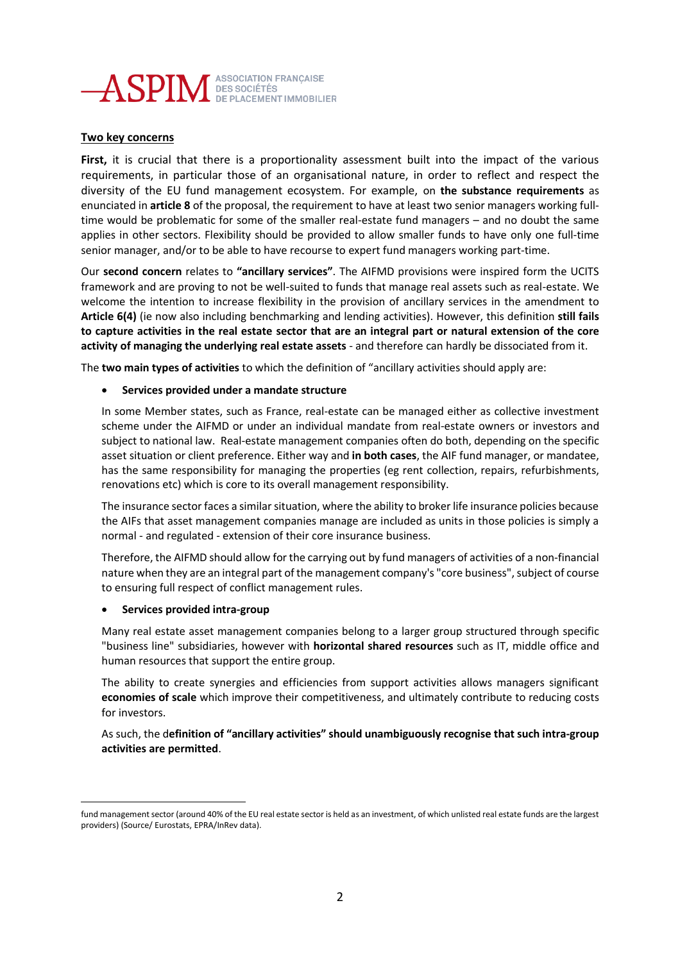

# **Two key concerns**

**First,** it is crucial that there is a proportionality assessment built into the impact of the various requirements, in particular those of an organisational nature, in order to reflect and respect the diversity of the EU fund management ecosystem. For example, on **the substance requirements** as enunciated in **article 8** of the proposal, the requirement to have at least two senior managers working fulltime would be problematic for some of the smaller real-estate fund managers – and no doubt the same applies in other sectors. Flexibility should be provided to allow smaller funds to have only one full-time senior manager, and/or to be able to have recourse to expert fund managers working part-time.

Our **second concern** relates to **"ancillary services"**. The AIFMD provisions were inspired form the UCITS framework and are proving to not be well-suited to funds that manage real assets such as real-estate. We welcome the intention to increase flexibility in the provision of ancillary services in the amendment to **Article 6(4)** (ie now also including benchmarking and lending activities). However, this definition **still fails to capture activities in the real estate sector that are an integral part or natural extension of the core activity of managing the underlying real estate assets** - and therefore can hardly be dissociated from it.

The **two main types of activities** to which the definition of "ancillary activities should apply are:

## • **Services provided under a mandate structure**

In some Member states, such as France, real-estate can be managed either as collective investment scheme under the AIFMD or under an individual mandate from real-estate owners or investors and subject to national law. Real-estate management companies often do both, depending on the specific asset situation or client preference. Either way and **in both cases**, the AIF fund manager, or mandatee, has the same responsibility for managing the properties (eg rent collection, repairs, refurbishments, renovations etc) which is core to its overall management responsibility.

The insurance sector faces a similar situation, where the ability to broker life insurance policies because the AIFs that asset management companies manage are included as units in those policies is simply a normal - and regulated - extension of their core insurance business.

Therefore, the AIFMD should allow for the carrying out by fund managers of activities of a non-financial nature when they are an integral part of the management company's "core business", subject of course to ensuring full respect of conflict management rules.

#### • **Services provided intra-group**

Many real estate asset management companies belong to a larger group structured through specific "business line" subsidiaries, however with **horizontal shared resources** such as IT, middle office and human resources that support the entire group.

The ability to create synergies and efficiencies from support activities allows managers significant **economies of scale** which improve their competitiveness, and ultimately contribute to reducing costs for investors.

As such, the d**efinition of "ancillary activities" should unambiguously recognise that such intra-group activities are permitted**.

fund management sector (around 40% of the EU real estate sector is held as an investment, of which unlisted real estate funds are the largest providers) (Source/ Eurostats, EPRA/InRev data).